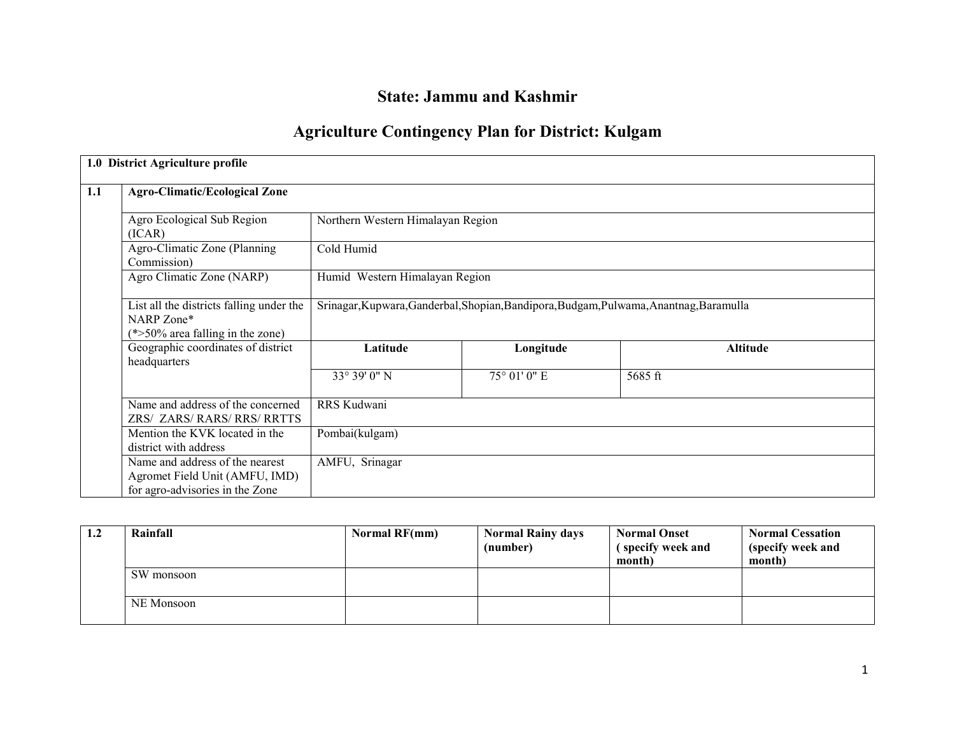# State: Jammu and Kashmir

# Agriculture Contingency Plan for District: Kulgam

|     | 1.0 District Agriculture profile                                                                     |                                                                                        |              |          |  |  |
|-----|------------------------------------------------------------------------------------------------------|----------------------------------------------------------------------------------------|--------------|----------|--|--|
| 1.1 | <b>Agro-Climatic/Ecological Zone</b>                                                                 |                                                                                        |              |          |  |  |
|     | Agro Ecological Sub Region<br>(ICAR)                                                                 | Northern Western Himalayan Region                                                      |              |          |  |  |
|     | Agro-Climatic Zone (Planning<br>Commission)                                                          | Cold Humid                                                                             |              |          |  |  |
|     | Agro Climatic Zone (NARP)                                                                            | Humid Western Himalayan Region                                                         |              |          |  |  |
|     | List all the districts falling under the<br>NARP Zone*<br>$(*>50\%$ area falling in the zone)        | Srinagar, Kupwara, Ganderbal, Shopian, Bandipora, Budgam, Pulwama, Anantnag, Baramulla |              |          |  |  |
|     | Geographic coordinates of district<br>headquarters                                                   | Latitude                                                                               | Longitude    | Altitude |  |  |
|     |                                                                                                      | 33° 39' 0" N                                                                           | 75° 01' 0" E | 5685 ft  |  |  |
|     | Name and address of the concerned<br>ZRS/ ZARS/ RARS/ RRS/ RRTTS                                     | RRS Kudwani                                                                            |              |          |  |  |
|     | Mention the KVK located in the<br>district with address                                              | Pombai(kulgam)                                                                         |              |          |  |  |
|     | Name and address of the nearest<br>Agromet Field Unit (AMFU, IMD)<br>for agro-advisories in the Zone | AMFU, Srinagar                                                                         |              |          |  |  |

| 1.2 | Rainfall   | Normal RF(mm) | <b>Normal Rainy days</b><br>(number) | <b>Normal Onset</b><br>(specify week and<br>month) | <b>Normal Cessation</b><br>(specify week and<br>month) |
|-----|------------|---------------|--------------------------------------|----------------------------------------------------|--------------------------------------------------------|
|     | SW monsoon |               |                                      |                                                    |                                                        |
|     | NE Monsoon |               |                                      |                                                    |                                                        |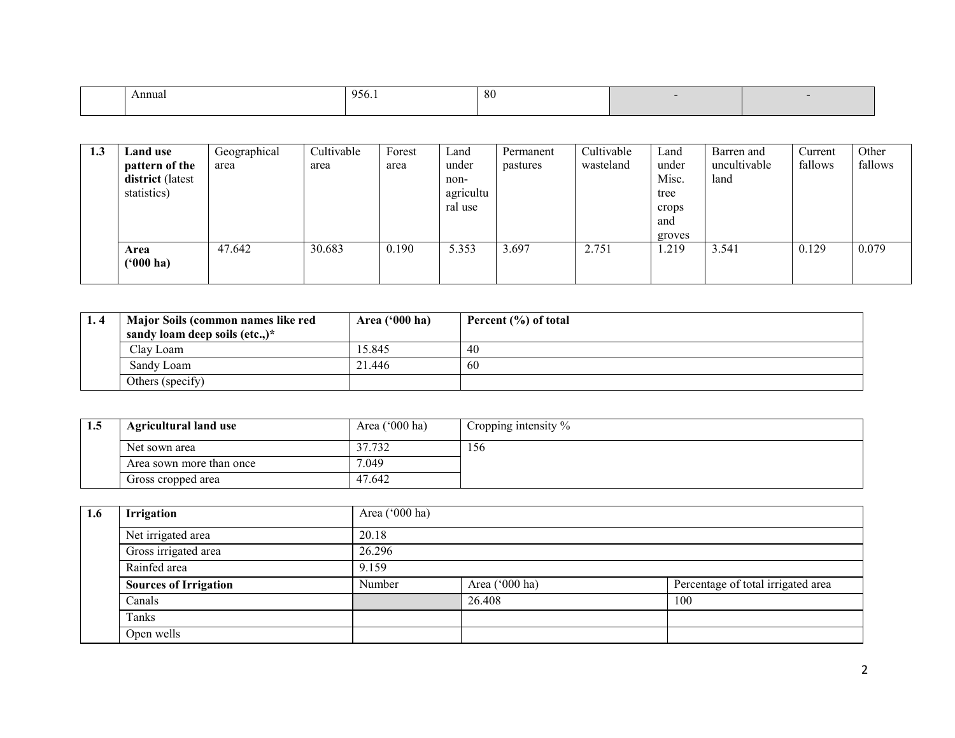| Annual | 956.1 | 80 |  |
|--------|-------|----|--|
|        |       |    |  |

| 1.3 | Land use<br>pattern of the<br>district (latest<br>statistics) | Geographical<br>area | Cultivable<br>area | Forest<br>area | Land<br>under<br>non-<br>agricultu<br>ral use | Permanent<br>pastures | Cultivable<br>wasteland | Land<br>under<br>Misc.<br>tree<br>crops<br>and<br>groves | Barren and<br>uncultivable<br>land | Current<br>fallows | Other<br>fallows |
|-----|---------------------------------------------------------------|----------------------|--------------------|----------------|-----------------------------------------------|-----------------------|-------------------------|----------------------------------------------------------|------------------------------------|--------------------|------------------|
|     | Area<br>$(900)$ ha)                                           | 47.642               | 30.683             | 0.190          | 5.353                                         | 3.697                 | 2.751                   | 1.219                                                    | 3.541                              | 0.129              | 0.079            |

| 1.4 | Major Soils (common names like red      | Area $('000 ha)$ | Percent (%) of total |
|-----|-----------------------------------------|------------------|----------------------|
|     | sandy loam deep soils $(\text{etc.})^*$ |                  |                      |
|     | Clay Loam                               | 15.845           | 40                   |
|     | Sandy Loam                              | 21.446           | 60                   |
|     | Others (specify)                        |                  |                      |

| 1.5 | <b>Agricultural land use</b> | Area $('000 ha)$ | Cropping intensity $\%$ |
|-----|------------------------------|------------------|-------------------------|
|     | Net sown area                | 37.732           | l 56                    |
|     | Area sown more than once     | 7.049            |                         |
|     | Gross cropped area           | 47.642           |                         |

| 1.6 | Irrigation                   | Area ('000 ha) |                |                                    |  |  |  |  |
|-----|------------------------------|----------------|----------------|------------------------------------|--|--|--|--|
|     | Net irrigated area           | 20.18          |                |                                    |  |  |  |  |
|     | Gross irrigated area         | 26.296         |                |                                    |  |  |  |  |
|     | Rainfed area                 | 9.159          |                |                                    |  |  |  |  |
|     | <b>Sources of Irrigation</b> | Number         | Area ('000 ha) | Percentage of total irrigated area |  |  |  |  |
|     | Canals                       |                | 26.408         | 100                                |  |  |  |  |
|     | Tanks                        |                |                |                                    |  |  |  |  |
|     | Open wells                   |                |                |                                    |  |  |  |  |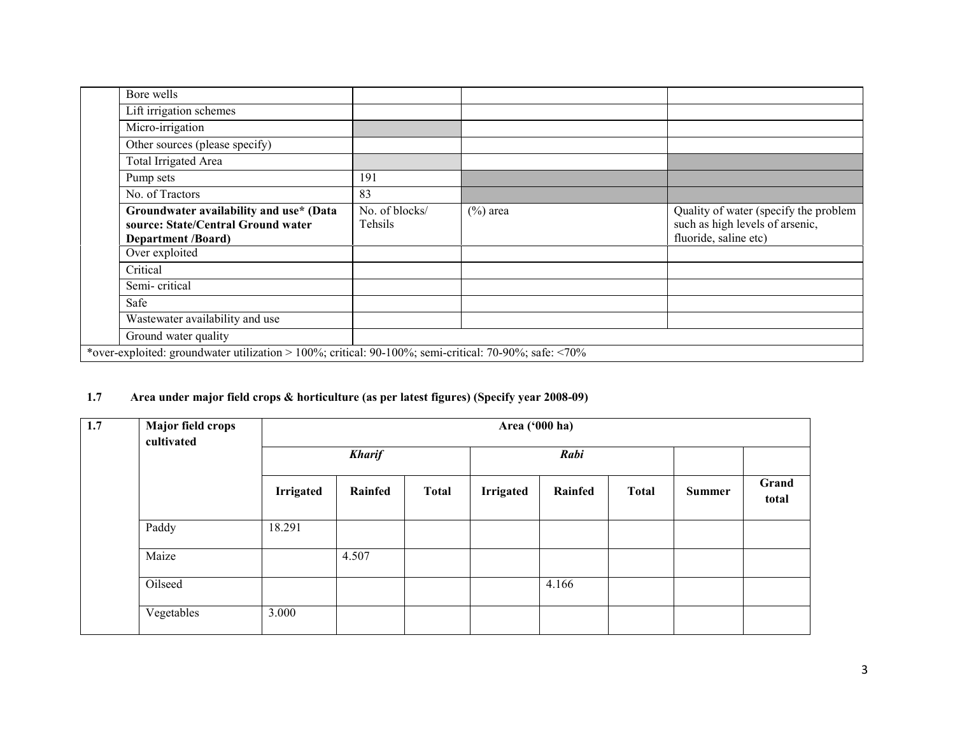| Bore wells                                                                                                 |                           |             |                                                                                                   |
|------------------------------------------------------------------------------------------------------------|---------------------------|-------------|---------------------------------------------------------------------------------------------------|
| Lift irrigation schemes                                                                                    |                           |             |                                                                                                   |
| Micro-irrigation                                                                                           |                           |             |                                                                                                   |
| Other sources (please specify)                                                                             |                           |             |                                                                                                   |
| Total Irrigated Area                                                                                       |                           |             |                                                                                                   |
| Pump sets                                                                                                  | 191                       |             |                                                                                                   |
| No. of Tractors                                                                                            | 83                        |             |                                                                                                   |
| Groundwater availability and use* (Data<br>source: State/Central Ground water<br><b>Department /Board)</b> | No. of blocks/<br>Tehsils | $(\%)$ area | Quality of water (specify the problem<br>such as high levels of arsenic,<br>fluoride, saline etc) |
| Over exploited                                                                                             |                           |             |                                                                                                   |
| Critical                                                                                                   |                           |             |                                                                                                   |
| Semi-critical                                                                                              |                           |             |                                                                                                   |
| Safe                                                                                                       |                           |             |                                                                                                   |
| Wastewater availability and use                                                                            |                           |             |                                                                                                   |
| Ground water quality                                                                                       |                           |             |                                                                                                   |
| *over-exploited: groundwater utilization > 100%; critical: 90-100%; semi-critical: 70-90%; safe: <70%      |                           |             |                                                                                                   |

# 1.7 Area under major field crops & horticulture (as per latest figures) (Specify year 2008-09)

| 1.7 | Major field crops<br>cultivated | Area ('000 ha)   |               |              |           |         |              |        |                |
|-----|---------------------------------|------------------|---------------|--------------|-----------|---------|--------------|--------|----------------|
|     |                                 |                  | <b>Kharif</b> |              |           | Rabi    |              |        |                |
|     |                                 | <b>Irrigated</b> | Rainfed       | <b>Total</b> | Irrigated | Rainfed | <b>Total</b> | Summer | Grand<br>total |
|     | Paddy                           | 18.291           |               |              |           |         |              |        |                |
|     | Maize                           |                  | 4.507         |              |           |         |              |        |                |
|     | Oilseed                         |                  |               |              |           | 4.166   |              |        |                |
|     | Vegetables                      | 3.000            |               |              |           |         |              |        |                |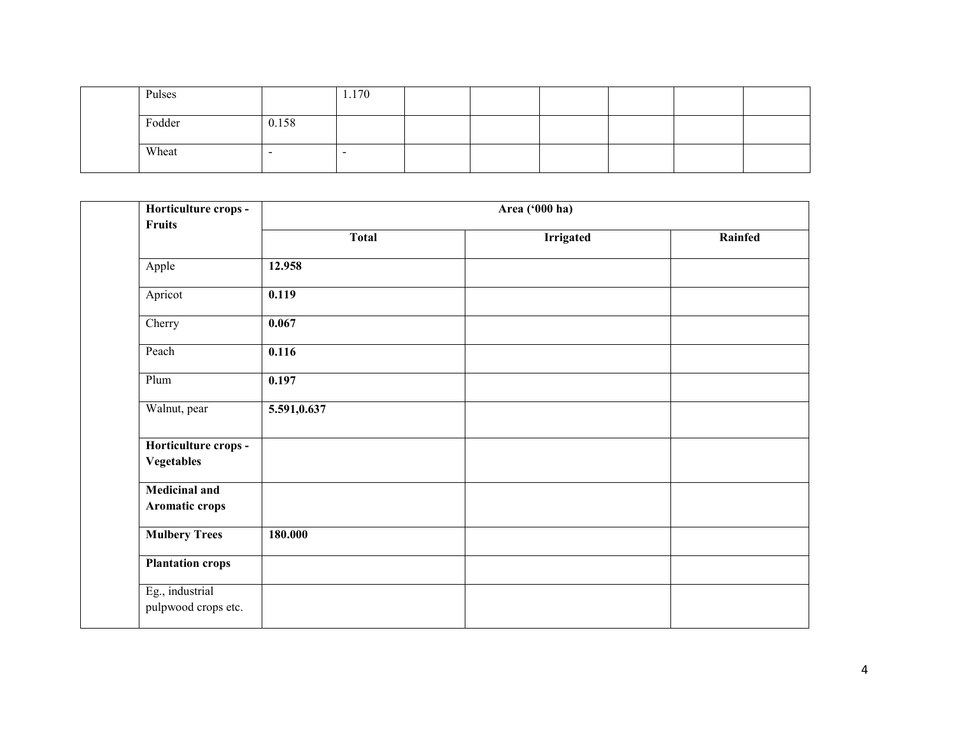| Pulses |       | 1.170 |  |  |  |
|--------|-------|-------|--|--|--|
| Fodder | 0.158 |       |  |  |  |
| Wheat  |       |       |  |  |  |

| Horticulture crops -<br>Fruits            |             |              | Area ('000 ha)   |         |
|-------------------------------------------|-------------|--------------|------------------|---------|
|                                           |             | <b>Total</b> | <b>Irrigated</b> | Rainfed |
| Apple                                     | 12.958      |              |                  |         |
| Apricot                                   | 0.119       |              |                  |         |
| Cherry                                    | 0.067       |              |                  |         |
| Peach                                     | 0.116       |              |                  |         |
| Plum                                      | 0.197       |              |                  |         |
| Walnut, pear                              | 5.591,0.637 |              |                  |         |
| Horticulture crops -<br><b>Vegetables</b> |             |              |                  |         |
| <b>Medicinal and</b><br>Aromatic crops    |             |              |                  |         |
| <b>Mulbery Trees</b>                      | 180.000     |              |                  |         |
| <b>Plantation crops</b>                   |             |              |                  |         |
| Eg., industrial<br>pulpwood crops etc.    |             |              |                  |         |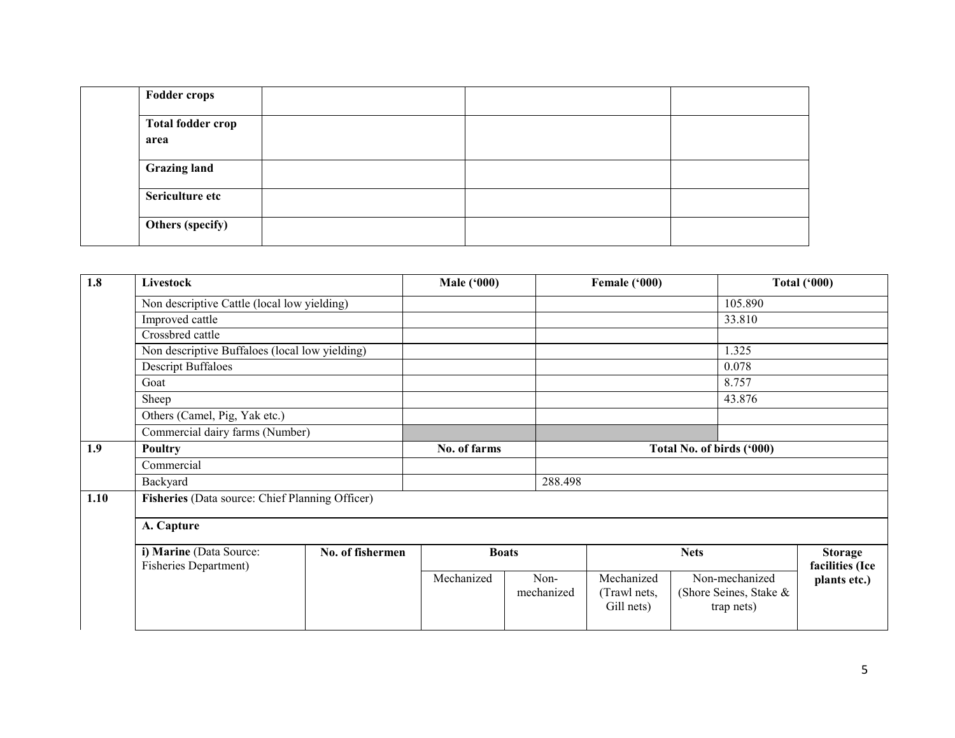| <b>Fodder crops</b>              |  |  |
|----------------------------------|--|--|
| <b>Total fodder crop</b><br>area |  |  |
| <b>Grazing land</b>              |  |  |
| Sericulture etc                  |  |  |
| Others (specify)                 |  |  |

| 1.8  | Livestock                                                |                  | <b>Male ('000)</b>                        |                    | Female ('000)                            |                                                        | <b>Total ('000)</b>               |
|------|----------------------------------------------------------|------------------|-------------------------------------------|--------------------|------------------------------------------|--------------------------------------------------------|-----------------------------------|
|      | Non descriptive Cattle (local low yielding)              |                  |                                           |                    |                                          | 105.890                                                |                                   |
|      | Improved cattle                                          |                  |                                           |                    |                                          | 33.810                                                 |                                   |
|      | Crossbred cattle                                         |                  |                                           |                    |                                          |                                                        |                                   |
|      | Non descriptive Buffaloes (local low yielding)           |                  |                                           |                    |                                          | 1.325                                                  |                                   |
|      | <b>Descript Buffaloes</b>                                |                  |                                           |                    |                                          | 0.078                                                  |                                   |
|      | Goat                                                     |                  |                                           |                    |                                          | 8.757                                                  |                                   |
|      | Sheep                                                    |                  |                                           |                    |                                          | 43.876                                                 |                                   |
|      | Others (Camel, Pig, Yak etc.)                            |                  |                                           |                    |                                          |                                                        |                                   |
|      | Commercial dairy farms (Number)                          |                  |                                           |                    |                                          |                                                        |                                   |
| 1.9  | Poultry                                                  |                  | No. of farms<br>Total No. of birds ('000) |                    |                                          |                                                        |                                   |
|      | Commercial                                               |                  |                                           |                    |                                          |                                                        |                                   |
|      | Backyard                                                 |                  |                                           | 288.498            |                                          |                                                        |                                   |
| 1.10 | Fisheries (Data source: Chief Planning Officer)          |                  |                                           |                    |                                          |                                                        |                                   |
|      | A. Capture                                               |                  |                                           |                    |                                          |                                                        |                                   |
|      | i) Marine (Data Source:<br><b>Fisheries Department</b> ) | No. of fishermen |                                           | <b>Boats</b>       |                                          | <b>Nets</b>                                            | <b>Storage</b><br>facilities (Ice |
|      |                                                          |                  | Mechanized                                | Non-<br>mechanized | Mechanized<br>(Trawl nets,<br>Gill nets) | Non-mechanized<br>(Shore Seines, Stake &<br>trap nets) | plants etc.)                      |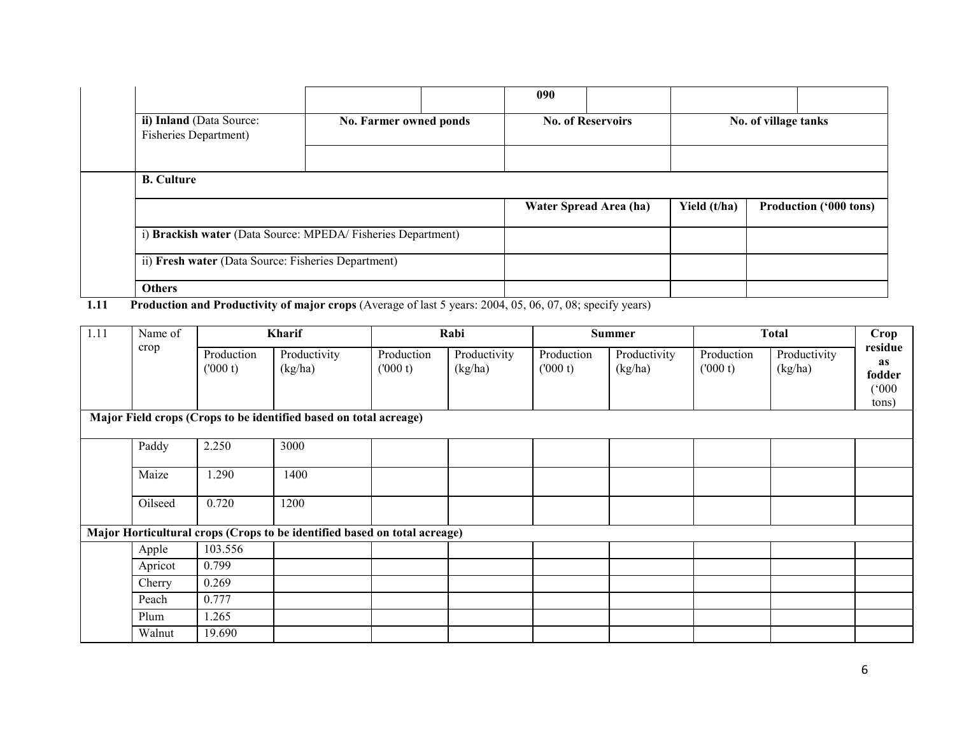|                | ii) Inland (Data Source:<br>Fisheries Department)                                                                                                                               | No. Farmer owned ponds      |               | 090 | <b>No. of Reservoirs</b>    |              | No. of village tanks          |
|----------------|---------------------------------------------------------------------------------------------------------------------------------------------------------------------------------|-----------------------------|---------------|-----|-----------------------------|--------------|-------------------------------|
|                | <b>B.</b> Culture                                                                                                                                                               |                             |               |     | Water Spread Area (ha)      | Yield (t/ha) | <b>Production ('000 tons)</b> |
|                | i) Brackish water (Data Source: MPEDA/Fisheries Department)                                                                                                                     |                             |               |     |                             |              |                               |
|                | ii) Fresh water (Data Source: Fisheries Department)                                                                                                                             |                             |               |     |                             |              |                               |
| $-1$ $-1$ $-1$ | <b>Others</b><br>$\mathbf{r}$ $\mathbf{r}$ $\mathbf{r}$ $\mathbf{r}$ $\mathbf{r}$ $\mathbf{r}$ $\mathbf{r}$ $\mathbf{r}$ $\mathbf{r}$<br>$\mathbf{r}$ $\mathbf{r}$ $\mathbf{r}$ | $\sim$ $\sim$ $\sim$ $\sim$ | $\sim$ $\sim$ |     | $\cdot$ $\sim$<br>$\lambda$ |              |                               |

**1.11** Production and Productivity of major crops (Average of last 5 years: 2004, 05, 06, 07, 08; specify years)

| 1.11 | Name of |                       | <b>Kharif</b>                                                             |                       | Rabi                    |                       | <b>Summer</b>           |                       | <b>Total</b>            | Crop                                             |
|------|---------|-----------------------|---------------------------------------------------------------------------|-----------------------|-------------------------|-----------------------|-------------------------|-----------------------|-------------------------|--------------------------------------------------|
|      | crop    | Production<br>(000 t) | Productivity<br>(kg/ha)                                                   | Production<br>(000 t) | Productivity<br>(kg/ha) | Production<br>(000 t) | Productivity<br>(kg/ha) | Production<br>(000 t) | Productivity<br>(kg/ha) | residue<br><b>as</b><br>fodder<br>(000)<br>tons) |
|      |         |                       | Major Field crops (Crops to be identified based on total acreage)         |                       |                         |                       |                         |                       |                         |                                                  |
|      | Paddy   | 2.250                 | 3000                                                                      |                       |                         |                       |                         |                       |                         |                                                  |
|      | Maize   | 1.290                 | 1400                                                                      |                       |                         |                       |                         |                       |                         |                                                  |
|      | Oilseed | 0.720                 | 1200                                                                      |                       |                         |                       |                         |                       |                         |                                                  |
|      |         |                       | Major Horticultural crops (Crops to be identified based on total acreage) |                       |                         |                       |                         |                       |                         |                                                  |
|      | Apple   | 103.556               |                                                                           |                       |                         |                       |                         |                       |                         |                                                  |
|      | Apricot | 0.799                 |                                                                           |                       |                         |                       |                         |                       |                         |                                                  |
|      | Cherry  | 0.269                 |                                                                           |                       |                         |                       |                         |                       |                         |                                                  |
|      | Peach   | 0.777                 |                                                                           |                       |                         |                       |                         |                       |                         |                                                  |
|      | Plum    | 1.265                 |                                                                           |                       |                         |                       |                         |                       |                         |                                                  |
|      | Walnut  | 19.690                |                                                                           |                       |                         |                       |                         |                       |                         |                                                  |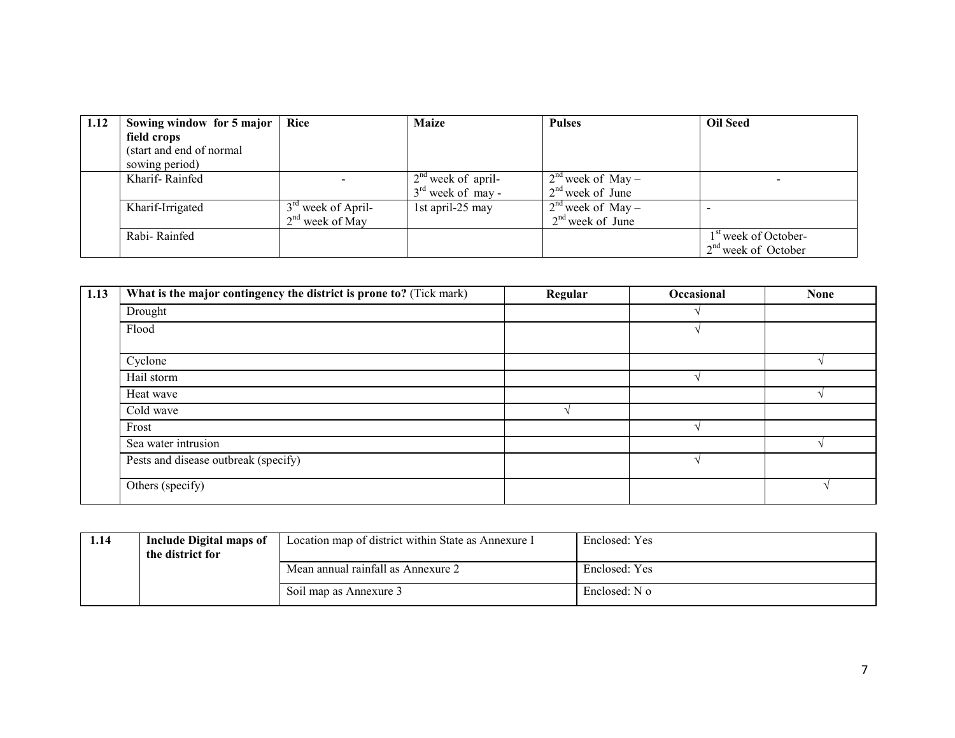| 1.12 | Sowing window for 5 major | Rice                 | <b>Maize</b>         | <b>Pulses</b>       | <b>Oil Seed</b>                  |
|------|---------------------------|----------------------|----------------------|---------------------|----------------------------------|
|      | field crops               |                      |                      |                     |                                  |
|      | (start and end of normal  |                      |                      |                     |                                  |
|      | sowing period)            |                      |                      |                     |                                  |
|      | Kharif-Rainfed            |                      | $2nd$ week of april- | $2nd$ week of May – |                                  |
|      |                           |                      | $3rd$ week of may -  | $2nd$ week of June  |                                  |
|      | Kharif-Irrigated          | $3rd$ week of April- | 1st april-25 may     | $2nd$ week of May – |                                  |
|      |                           | $2nd$ week of May    |                      | $2nd$ week of June  |                                  |
|      | Rabi-Rainfed              |                      |                      |                     | 1 <sup>st</sup> week of October- |
|      |                           |                      |                      |                     | $2nd$ week of October            |

| 1.13 | What is the major contingency the district is prone to? (Tick mark) | Regular | Occasional | <b>None</b> |
|------|---------------------------------------------------------------------|---------|------------|-------------|
|      | Drought                                                             |         |            |             |
|      | Flood                                                               |         |            |             |
|      | Cyclone                                                             |         |            |             |
|      | Hail storm                                                          |         |            |             |
|      | Heat wave                                                           |         |            |             |
|      | Cold wave                                                           |         |            |             |
|      | Frost                                                               |         |            |             |
|      | Sea water intrusion                                                 |         |            |             |
|      | Pests and disease outbreak (specify)                                |         |            |             |
|      | Others (specify)                                                    |         |            |             |

| 1.14 | Include Digital maps of<br>the district for | Location map of district within State as Annexure I | Enclosed: Yes |
|------|---------------------------------------------|-----------------------------------------------------|---------------|
|      |                                             | Mean annual rainfall as Annexure 2                  | Enclosed: Yes |
|      |                                             | Soil map as Annexure 3                              | Enclosed: N o |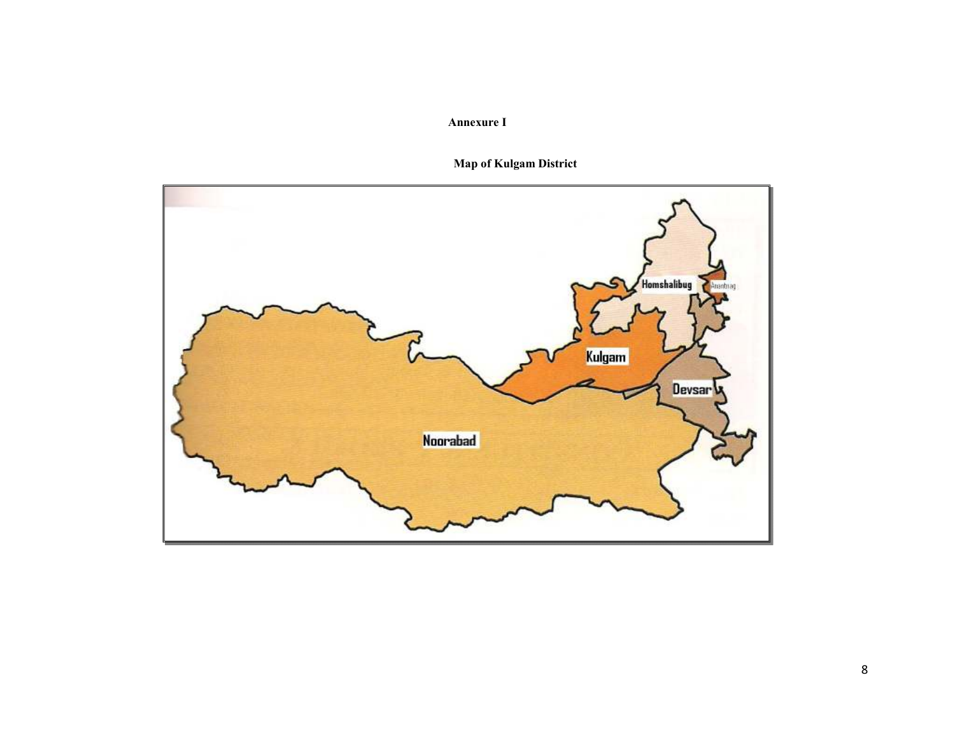# Annexure I

# Map of Kulgam District

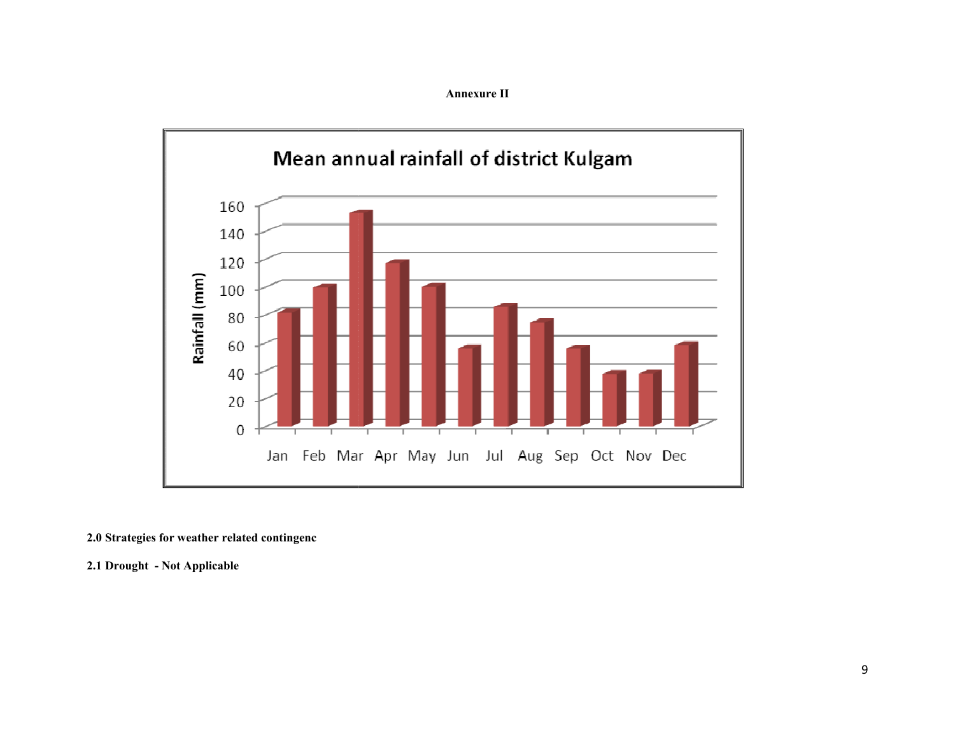Annexure II



2.0 Strategies for weather related contingenc

2.1 Drought - Not Applicable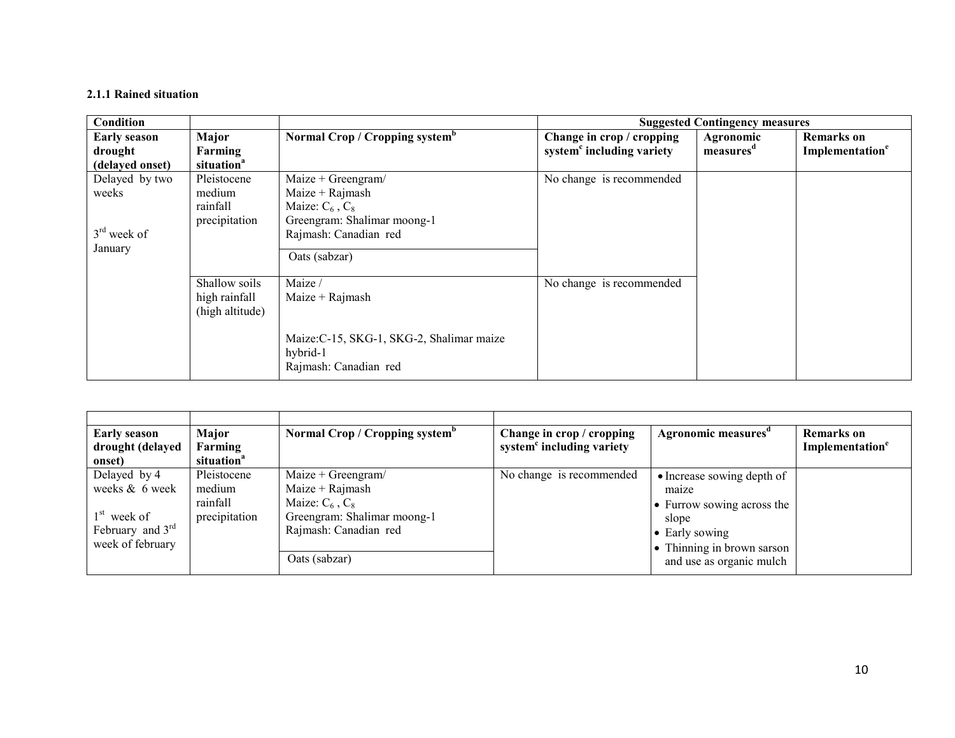### 2.1.1 Rained situation

| <b>Condition</b>                                    |                                                    |                                                                                                                                          |                                                                    | <b>Suggested Contingency measures</b> |                                           |
|-----------------------------------------------------|----------------------------------------------------|------------------------------------------------------------------------------------------------------------------------------------------|--------------------------------------------------------------------|---------------------------------------|-------------------------------------------|
| <b>Early season</b><br>drought<br>(delayed onset)   | Major<br>Farming<br>situation <sup>a</sup>         | Normal Crop / Cropping system <sup>b</sup>                                                                                               | Change in crop / cropping<br>system <sup>c</sup> including variety | Agronomic<br>measures <sup>d</sup>    | Remarks on<br>Implementation <sup>e</sup> |
| Delayed by two<br>weeks<br>$3rd$ week of<br>January | Pleistocene<br>medium<br>rainfall<br>precipitation | Maize + Greengram/<br>Maize + $Rajmash$<br>Maize: $C_6$ , $C_8$<br>Greengram: Shalimar moong-1<br>Rajmash: Canadian red<br>Oats (sabzar) | No change is recommended                                           |                                       |                                           |
|                                                     | Shallow soils<br>high rainfall<br>(high altitude)  | Maize /<br>Maize + $Rainash$<br>Maize: C-15, SKG-1, SKG-2, Shalimar maize<br>hybrid-1<br>Rajmash: Canadian red                           | No change is recommended                                           |                                       |                                           |

| <b>Early season</b><br>drought (delayed<br>onset)                                         | Major<br>Farming<br>situation <sup>a</sup>         | Normal Crop / Cropping system <sup>b</sup>                                                                                                 | Change in crop / cropping<br>system <sup>c</sup> including variety | Agronomic measures <sup>d</sup>                                                                                                                        | <b>Remarks</b> on<br>Implementation <sup>e</sup> |
|-------------------------------------------------------------------------------------------|----------------------------------------------------|--------------------------------------------------------------------------------------------------------------------------------------------|--------------------------------------------------------------------|--------------------------------------------------------------------------------------------------------------------------------------------------------|--------------------------------------------------|
| Delayed by 4<br>weeks & 6 week<br>$1st$ week of<br>February and $3rd$<br>week of february | Pleistocene<br>medium<br>rainfall<br>precipitation | $Maize + Greengram/$<br>$Maize + Rajmask$<br>Maize: $C_6$ , $C_8$<br>Greengram: Shalimar moong-1<br>Rajmash: Canadian red<br>Oats (sabzar) | No change is recommended                                           | • Increase sowing depth of<br>maize<br>• Furrow sowing across the<br>slope<br>• Early sowing<br>• Thinning in brown sarson<br>and use as organic mulch |                                                  |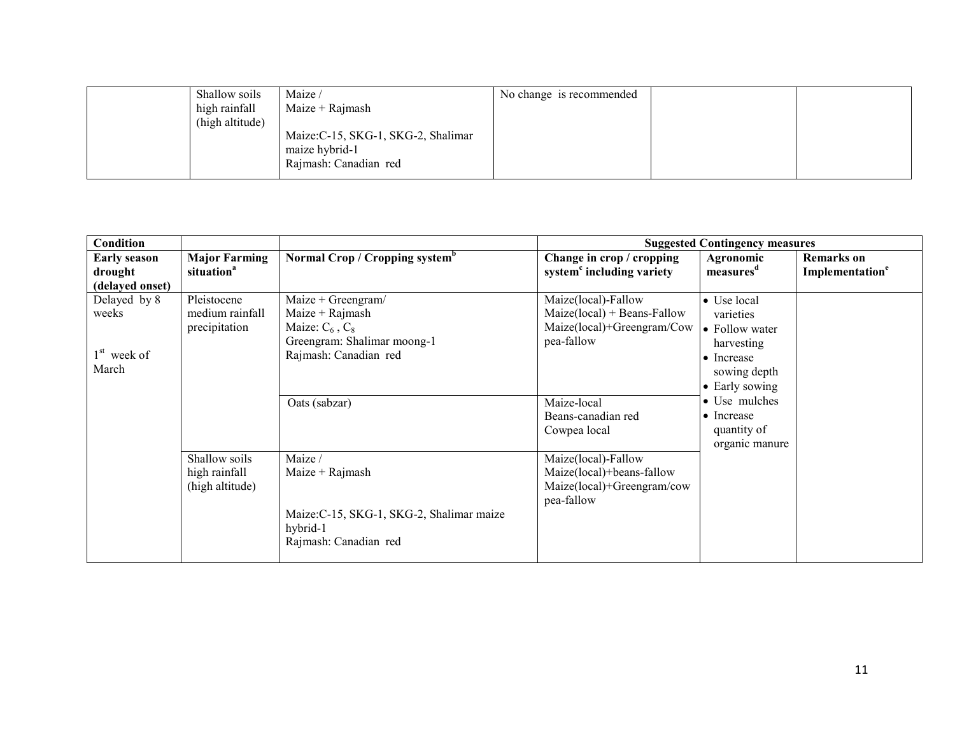| Shallow soils<br>high rainfall | Maize /<br>Maize + $Rajmash$                                                   | No change is recommended |  |
|--------------------------------|--------------------------------------------------------------------------------|--------------------------|--|
| (high altitude)                | Maize: C-15, SKG-1, SKG-2, Shalimar<br>maize hybrid-1<br>Rajmash: Canadian red |                          |  |

| <b>Condition</b>                                  |                                                   |                                                                                                                         |                                                                                                  | <b>Suggested Contingency measures</b>                                                                    |                                                  |
|---------------------------------------------------|---------------------------------------------------|-------------------------------------------------------------------------------------------------------------------------|--------------------------------------------------------------------------------------------------|----------------------------------------------------------------------------------------------------------|--------------------------------------------------|
| <b>Early season</b><br>drought<br>(delayed onset) | <b>Major Farming</b><br>situation <sup>a</sup>    | Normal Crop / Cropping system <sup>b</sup>                                                                              | Change in crop / cropping<br>system <sup>c</sup> including variety                               | Agronomic<br>measures <sup>d</sup>                                                                       | <b>Remarks</b> on<br>Implementation <sup>e</sup> |
| Delayed by 8<br>weeks<br>$1st$ week of<br>March   | Pleistocene<br>medium rainfall<br>precipitation   | Maize + Greengram/<br>Maize + $Rajmash$<br>Maize: $C_6$ , $C_8$<br>Greengram: Shalimar moong-1<br>Rajmash: Canadian red | Maize(local)-Fallow<br>$Maize(local) + Beans-Fallow$<br>Maize(local)+Greengram/Cow<br>pea-fallow | • Use local<br>varieties<br>• Follow water<br>harvesting<br>• Increase<br>sowing depth<br>• Early sowing |                                                  |
|                                                   |                                                   | Oats (sabzar)                                                                                                           | Maize-local<br>Beans-canadian red<br>Cowpea local                                                | • Use mulches<br>$\bullet$ Increase<br>quantity of<br>organic manure                                     |                                                  |
|                                                   | Shallow soils<br>high rainfall<br>(high altitude) | Maize /<br>Maize + Rajmash<br>Maize: C-15, SKG-1, SKG-2, Shalimar maize<br>hybrid-1<br>Rajmash: Canadian red            | Maize(local)-Fallow<br>Maize(local)+beans-fallow<br>Maize(local)+Greengram/cow<br>pea-fallow     |                                                                                                          |                                                  |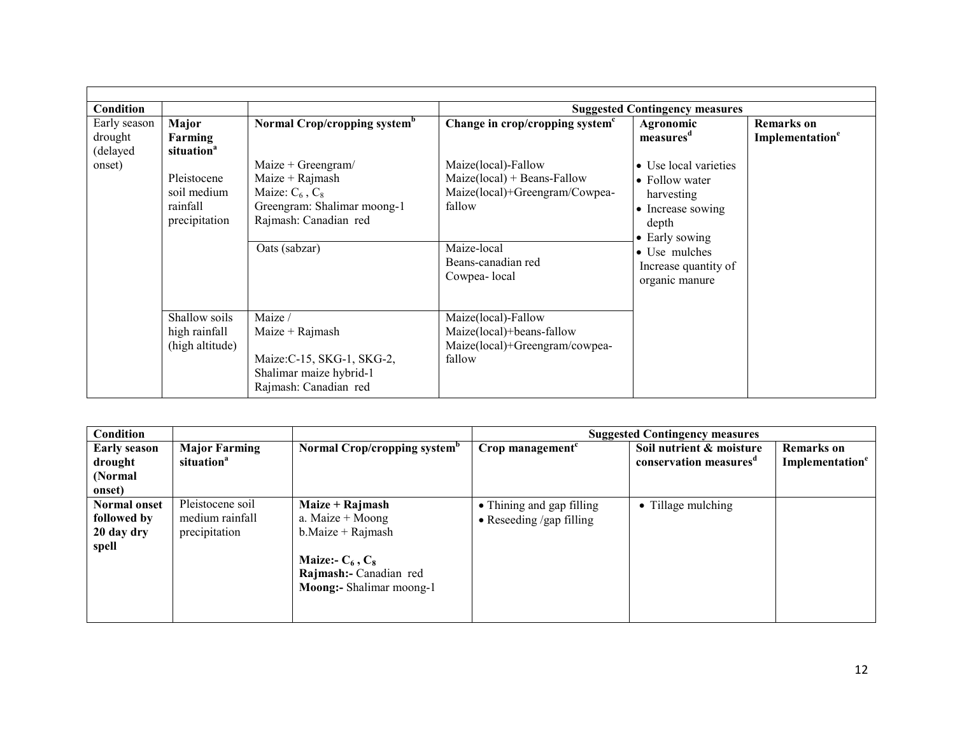| Condition                           |                                                         |                                                                                                                           |                                                                                                                                                                                                                   | <b>Suggested Contingency measures</b>                   |                                                  |
|-------------------------------------|---------------------------------------------------------|---------------------------------------------------------------------------------------------------------------------------|-------------------------------------------------------------------------------------------------------------------------------------------------------------------------------------------------------------------|---------------------------------------------------------|--------------------------------------------------|
| Early season<br>drought<br>(delayed | Major<br>Farming<br>situation <sup>a</sup>              | Normal Crop/cropping system <sup>b</sup>                                                                                  | Change in crop/cropping system <sup>c</sup>                                                                                                                                                                       | Agronomic<br>measures <sup>d</sup>                      | <b>Remarks</b> on<br>Implementation <sup>e</sup> |
| onset)                              | Pleistocene<br>soil medium<br>rainfall<br>precipitation | $Maize + Greengram/$<br>Maize + $Rajmash$<br>Maize: $C_6$ , $C_8$<br>Greengram: Shalimar moong-1<br>Rajmash: Canadian red | Maize(local)-Fallow<br>• Use local varieties<br>$Maize(local) + Beans-Fallow$<br>$\bullet$ Follow water<br>Maize(local)+Greengram/Cowpea-<br>harvesting<br>fallow<br>• Increase sowing<br>depth<br>• Early sowing |                                                         |                                                  |
|                                     |                                                         | Oats (sabzar)                                                                                                             | Maize-local<br>Beans-canadian red<br>Cowpea-local                                                                                                                                                                 | • Use mulches<br>Increase quantity of<br>organic manure |                                                  |
|                                     | Shallow soils<br>high rainfall<br>(high altitude)       | Maize /<br>Maize $+$ Rajmash<br>Maize: C-15, SKG-1, SKG-2,<br>Shalimar maize hybrid-1<br>Rajmash: Canadian red            | Maize(local)-Fallow<br>Maize(local)+beans-fallow<br>Maize(local)+Greengram/cowpea-<br>fallow                                                                                                                      |                                                         |                                                  |

| Condition                                                 |                                                      |                                                                                                                                               | <b>Suggested Contingency measures</b>                         |                                                                |                                                  |  |
|-----------------------------------------------------------|------------------------------------------------------|-----------------------------------------------------------------------------------------------------------------------------------------------|---------------------------------------------------------------|----------------------------------------------------------------|--------------------------------------------------|--|
| <b>Early season</b><br>drought<br>(Normal)<br>onset)      | <b>Major Farming</b><br>situation <sup>a</sup>       | Normal Crop/cropping system <sup>b</sup>                                                                                                      | $Crop$ management <sup><math>c</math></sup>                   | Soil nutrient & moisture<br>conservation measures <sup>a</sup> | <b>Remarks</b> on<br>Implementation <sup>e</sup> |  |
| <b>Normal onset</b><br>followed by<br>20 day dry<br>spell | Pleistocene soil<br>medium rainfall<br>precipitation | Maize + Rajmash<br>a. Maize $+$ Moong<br>$b$ . Maize + Rajmash<br>Maize:- $C_6$ , $C_8$<br>Rajmash:- Canadian red<br>Moong:- Shalimar moong-1 | • Thining and gap filling<br>$\bullet$ Reseeding /gap filling | • Tillage mulching                                             |                                                  |  |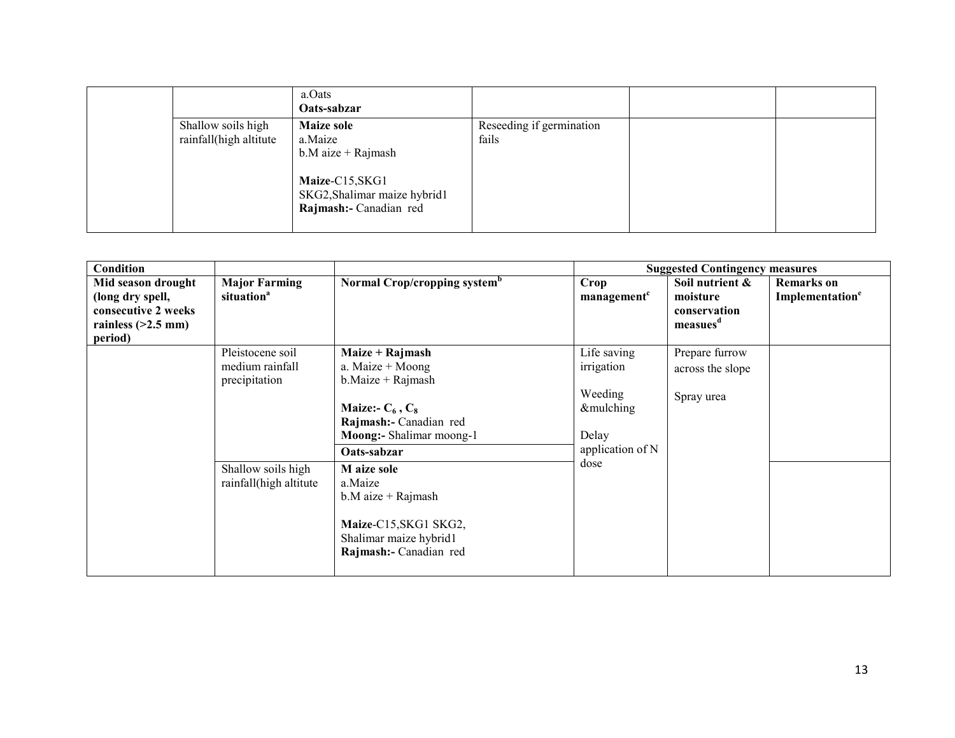|                                              | a.Oats<br>Oats-sabzar                                                                                                             |                                   |  |
|----------------------------------------------|-----------------------------------------------------------------------------------------------------------------------------------|-----------------------------------|--|
| Shallow soils high<br>rainfall(high altitute | <b>Maize sole</b><br>a.Maize<br>$b.M$ aize + Rajmash<br>Maize-C15, SKG1<br>SKG2, Shalimar maize hybrid1<br>Rajmash:- Canadian red | Reseeding if germination<br>fails |  |

| <b>Condition</b>                                                                                 |                                                                                                      |                                                                                                                                                                                                                                                                                           |                                                                                        | <b>Suggested Contingency measures</b>                               |                                                  |
|--------------------------------------------------------------------------------------------------|------------------------------------------------------------------------------------------------------|-------------------------------------------------------------------------------------------------------------------------------------------------------------------------------------------------------------------------------------------------------------------------------------------|----------------------------------------------------------------------------------------|---------------------------------------------------------------------|--------------------------------------------------|
| Mid season drought<br>(long dry spell,<br>consecutive 2 weeks<br>rainless $(>2.5$ mm)<br>period) | <b>Major Farming</b><br>situation <sup>a</sup>                                                       | Normal Crop/cropping system <sup>b</sup>                                                                                                                                                                                                                                                  | Crop<br>management <sup>c</sup>                                                        | Soil nutrient &<br>moisture<br>conservation<br>measues <sup>d</sup> | <b>Remarks</b> on<br>Implementation <sup>e</sup> |
|                                                                                                  | Pleistocene soil<br>medium rainfall<br>precipitation<br>Shallow soils high<br>rainfall(high altitute | Maize + Rajmash<br>a. Maize + Moong<br>$b$ . Maize + Rajmash<br>Maize:- $C_6$ , $C_8$<br>Rajmash:- Canadian red<br>Moong:- Shalimar moong-1<br>Oats-sabzar<br>M aize sole<br>a.Maize<br>$b.M$ aize + Rajmash<br>Maize-C15, SKG1 SKG2,<br>Shalimar maize hybrid1<br>Rajmash:- Canadian red | Life saving<br>irrigation<br>Weeding<br>&mulching<br>Delay<br>application of N<br>dose | Prepare furrow<br>across the slope<br>Spray urea                    |                                                  |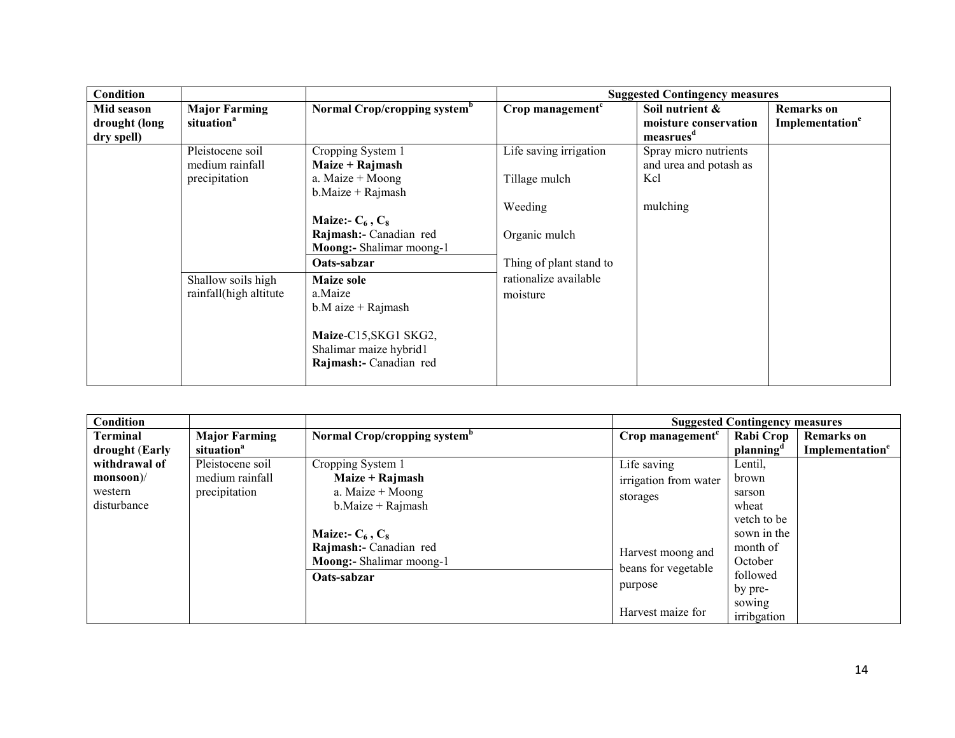| <b>Condition</b>                          |                                                                                                      |                                                                                                                                                                                                                                                                                                                        |                                                                                                                                     | <b>Suggested Contingency measures</b>                              |                                                        |
|-------------------------------------------|------------------------------------------------------------------------------------------------------|------------------------------------------------------------------------------------------------------------------------------------------------------------------------------------------------------------------------------------------------------------------------------------------------------------------------|-------------------------------------------------------------------------------------------------------------------------------------|--------------------------------------------------------------------|--------------------------------------------------------|
| Mid season<br>drought (long<br>dry spell) | <b>Major Farming</b><br>situation <sup>a</sup>                                                       | Normal Crop/cropping system <sup>b</sup>                                                                                                                                                                                                                                                                               | Crop management $c$                                                                                                                 | Soil nutrient &<br>moisture conservation<br>measrues <sup>a</sup>  | <b>Remarks</b> on<br><b>Implementation<sup>e</sup></b> |
|                                           | Pleistocene soil<br>medium rainfall<br>precipitation<br>Shallow soils high<br>rainfall(high altitute | Cropping System 1<br>Maize + Rajmash<br>a. Maize $+$ Moong<br>$b$ . Maize + Rajmash<br>Maize:- $C_6$ , $C_8$<br>Rajmash:- Canadian red<br>Moong:- Shalimar moong-1<br>Oats-sabzar<br><b>Maize sole</b><br>a.Maize<br>$b.M$ aize + Rajmash<br>Maize-C15, SKG1 SKG2,<br>Shalimar maize hybrid1<br>Rajmash:- Canadian red | Life saving irrigation<br>Tillage mulch<br>Weeding<br>Organic mulch<br>Thing of plant stand to<br>rationalize available<br>moisture | Spray micro nutrients<br>and urea and potash as<br>Kcl<br>mulching |                                                        |

| Condition       |                        |                                          |                       | <b>Suggested Contingency measures</b> |                             |
|-----------------|------------------------|------------------------------------------|-----------------------|---------------------------------------|-----------------------------|
| <b>Terminal</b> | <b>Major Farming</b>   | Normal Crop/cropping system <sup>b</sup> | Crop management $c$   | Rabi Crop                             | <b>Remarks</b> on           |
| drought (Early  | situation <sup>a</sup> |                                          |                       | planning <sup>6</sup>                 | Implementation <sup>e</sup> |
| withdrawal of   | Pleistocene soil       | Cropping System 1                        | Life saving           | Lentil,                               |                             |
| $monsoon$ //    | medium rainfall        | Maize + Rajmash                          | irrigation from water | brown                                 |                             |
| western         | precipitation          | a. Maize $+$ Moong                       | storages              | sarson                                |                             |
| disturbance     |                        | $b$ . Maize + Rajmash                    |                       | wheat                                 |                             |
|                 |                        |                                          |                       | vetch to be                           |                             |
|                 |                        | Maize:- $C_6$ , $C_8$                    |                       | sown in the                           |                             |
|                 |                        | Rajmash:- Canadian red                   | Harvest moong and     | month of                              |                             |
|                 |                        | Moong:- Shalimar moong-1                 | beans for vegetable   | October                               |                             |
|                 |                        | Oats-sabzar                              |                       | followed                              |                             |
|                 |                        |                                          | purpose               | by pre-                               |                             |
|                 |                        |                                          |                       | sowing                                |                             |
|                 |                        |                                          | Harvest maize for     | irribgation                           |                             |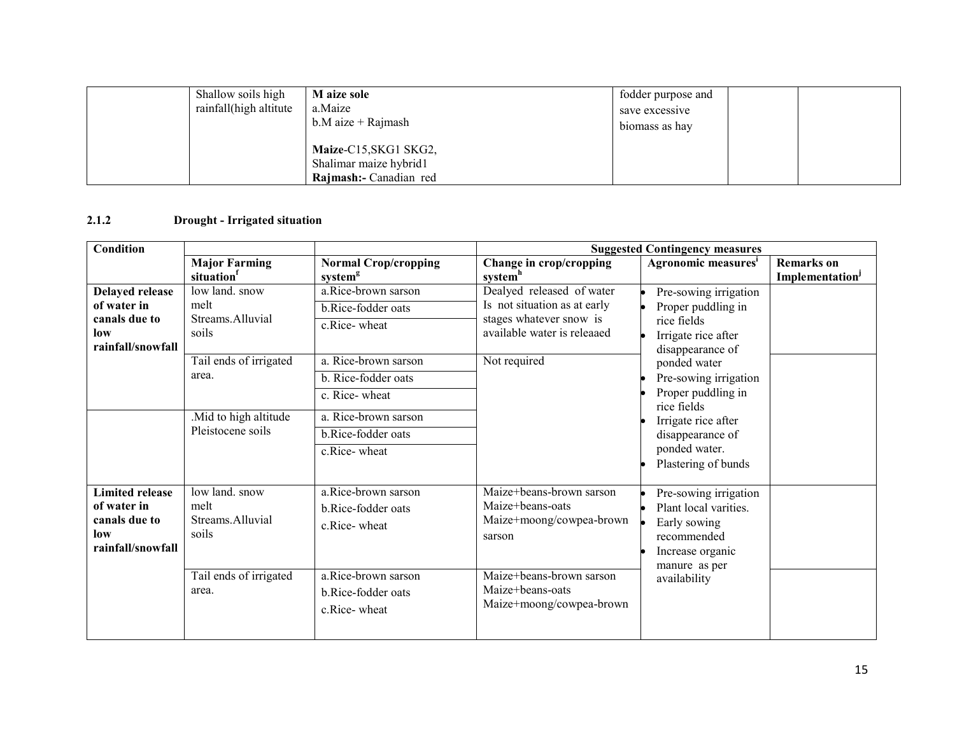| Shallow soils high<br>rainfall(high altitute | M aize sole<br>a.Maize<br>$b.M$ aize + Rajmash                            | fodder purpose and<br>save excessive<br>biomass as hay |
|----------------------------------------------|---------------------------------------------------------------------------|--------------------------------------------------------|
|                                              | Maize-C15, SKG1 SKG2,<br>Shalimar maize hybrid1<br>Rajmash:- Canadian red |                                                        |

# 2.1.2 Drought - Irrigated situation

| <b>Condition</b>                                                                   |                                                     |                                                                                                                                       | <b>Suggested Contingency measures</b>                                                                               |                                                                                                                                                               |                                                  |  |
|------------------------------------------------------------------------------------|-----------------------------------------------------|---------------------------------------------------------------------------------------------------------------------------------------|---------------------------------------------------------------------------------------------------------------------|---------------------------------------------------------------------------------------------------------------------------------------------------------------|--------------------------------------------------|--|
|                                                                                    | <b>Major Farming</b><br>situation                   | <b>Normal Crop/cropping</b><br>system <sup>g</sup>                                                                                    | Change in crop/cropping<br>system <sup>h</sup>                                                                      | Agronomic measures <sup>i</sup>                                                                                                                               | <b>Remarks</b> on<br>Implementation <sup>J</sup> |  |
| <b>Delayed release</b><br>of water in<br>canals due to<br>low<br>rainfall/snowfall | low land. snow<br>melt<br>Streams.Alluvial<br>soils | a.Rice-brown sarson<br>b.Rice-fodder oats<br>c.Rice-wheat                                                                             | Dealyed released of water<br>Is not situation as at early<br>stages whatever snow is<br>available water is releaaed | Pre-sowing irrigation<br>Proper puddling in<br>rice fields<br>Irrigate rice after<br>disappearance of                                                         |                                                  |  |
|                                                                                    | Tail ends of irrigated<br>area.                     | a. Rice-brown sarson<br>b. Rice-fodder oats<br>c. Rice-wheat                                                                          | Not required                                                                                                        | ponded water<br>Pre-sowing irrigation<br>Proper puddling in<br>rice fields<br>Irrigate rice after<br>disappearance of<br>ponded water.<br>Plastering of bunds |                                                  |  |
|                                                                                    | .Mid to high altitude<br>Pleistocene soils          | a. Rice-brown sarson<br>b.Rice-fodder oats<br>c.Rice-wheat                                                                            |                                                                                                                     |                                                                                                                                                               |                                                  |  |
| <b>Limited release</b><br>of water in<br>canals due to<br>low<br>rainfall/snowfall | low land. snow<br>melt<br>Streams.Alluvial<br>soils | a.Rice-brown sarson<br>b.Rice-fodder oats<br>c.Rice-wheat                                                                             | Maize+beans-brown sarson<br>Maize+beans-oats<br>Maize+moong/cowpea-brown<br>sarson                                  | Pre-sowing irrigation<br>Plant local varities.<br>Early sowing<br>recommended<br>Increase organic<br>manure as per                                            |                                                  |  |
|                                                                                    | Tail ends of irrigated<br>area.                     | a.Rice-brown sarson<br>Maize+beans-brown sarson<br>Maize+beans-oats<br>b.Rice-fodder oats<br>Maize+moong/cowpea-brown<br>c.Rice-wheat | availability                                                                                                        |                                                                                                                                                               |                                                  |  |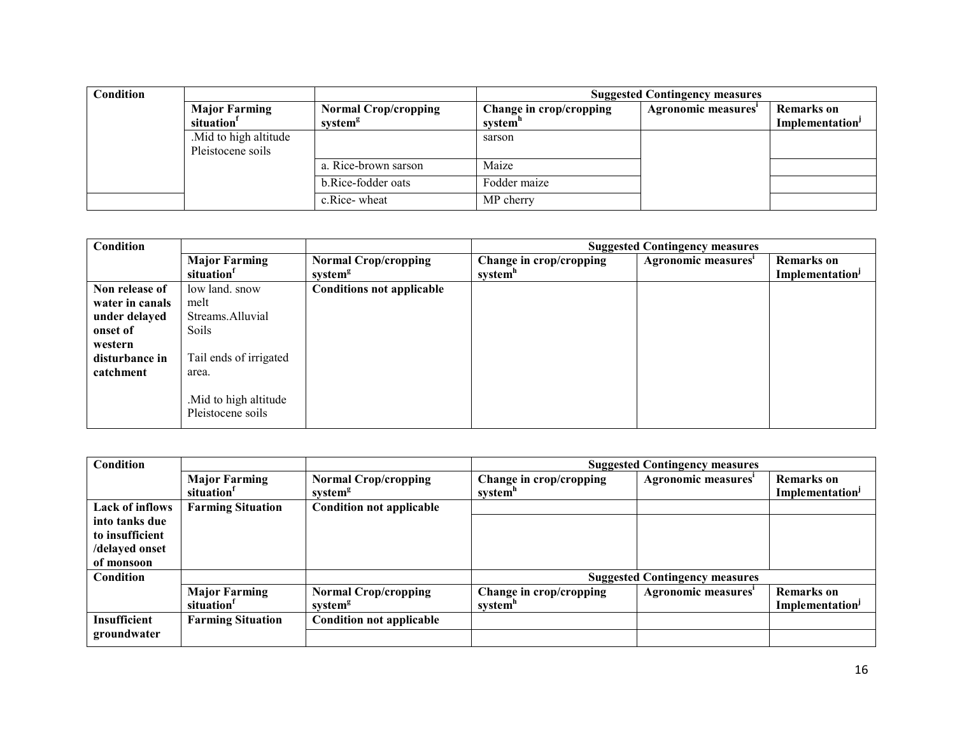| <b>Condition</b> |                        |                             | <b>Suggested Contingency measures</b> |                     |                             |
|------------------|------------------------|-----------------------------|---------------------------------------|---------------------|-----------------------------|
|                  | <b>Major Farming</b>   | <b>Normal Crop/cropping</b> | Change in crop/cropping               | Agronomic measures' | <b>Remarks</b> on           |
|                  | situation <sup>1</sup> | system <sup>g</sup>         | system <sup>"</sup>                   |                     | Implementation <sup>J</sup> |
|                  | Mid to high altitude   |                             | sarson                                |                     |                             |
|                  | Pleistocene soils      |                             |                                       |                     |                             |
|                  |                        | a. Rice-brown sarson        | Maize                                 |                     |                             |
|                  |                        | b.Rice-fodder oats          | Fodder maize                          |                     |                             |
|                  |                        | c.Rice-wheat                | MP cherry                             |                     |                             |

| Condition                              |                                                |                                                    | <b>Suggested Contingency measures</b> |                     |                                                  |  |
|----------------------------------------|------------------------------------------------|----------------------------------------------------|---------------------------------------|---------------------|--------------------------------------------------|--|
|                                        | <b>Major Farming</b><br>situation <sup>1</sup> | <b>Normal Crop/cropping</b><br>system <sup>g</sup> | Change in crop/cropping<br>system"    | Agronomic measures' | <b>Remarks</b> on<br>Implementation <sup>J</sup> |  |
| Non release of<br>water in canals      | low land, snow<br>melt                         | <b>Conditions not applicable</b>                   |                                       |                     |                                                  |  |
| under delayed<br>onset of              | Streams.Alluvial<br>Soils                      |                                                    |                                       |                     |                                                  |  |
| western<br>disturbance in<br>catchment | Tail ends of irrigated<br>area.                |                                                    |                                       |                     |                                                  |  |
|                                        | . Mid to high altitude<br>Pleistocene soils    |                                                    |                                       |                     |                                                  |  |

| Condition              |                          |                                 | <b>Suggested Contingency measures</b> |                                       |                             |  |
|------------------------|--------------------------|---------------------------------|---------------------------------------|---------------------------------------|-----------------------------|--|
|                        | <b>Major Farming</b>     | <b>Normal Crop/cropping</b>     | Change in crop/cropping               | Agronomic measures'                   | <b>Remarks</b> on           |  |
|                        | situation <sup>1</sup>   | system <sup>g</sup>             | system"                               |                                       | Implementation <sup>J</sup> |  |
| <b>Lack of inflows</b> | <b>Farming Situation</b> | <b>Condition not applicable</b> |                                       |                                       |                             |  |
| into tanks due         |                          |                                 |                                       |                                       |                             |  |
| to insufficient        |                          |                                 |                                       |                                       |                             |  |
| /delayed onset         |                          |                                 |                                       |                                       |                             |  |
| of monsoon             |                          |                                 |                                       |                                       |                             |  |
| Condition              |                          |                                 |                                       | <b>Suggested Contingency measures</b> |                             |  |
|                        | <b>Major Farming</b>     | <b>Normal Crop/cropping</b>     | Change in crop/cropping               | Agronomic measures'                   | <b>Remarks</b> on           |  |
|                        | situation <sup>1</sup>   | system <sup>g</sup>             | system"                               |                                       | Implementation <sup>1</sup> |  |
| Insufficient           | <b>Farming Situation</b> | <b>Condition not applicable</b> |                                       |                                       |                             |  |
| groundwater            |                          |                                 |                                       |                                       |                             |  |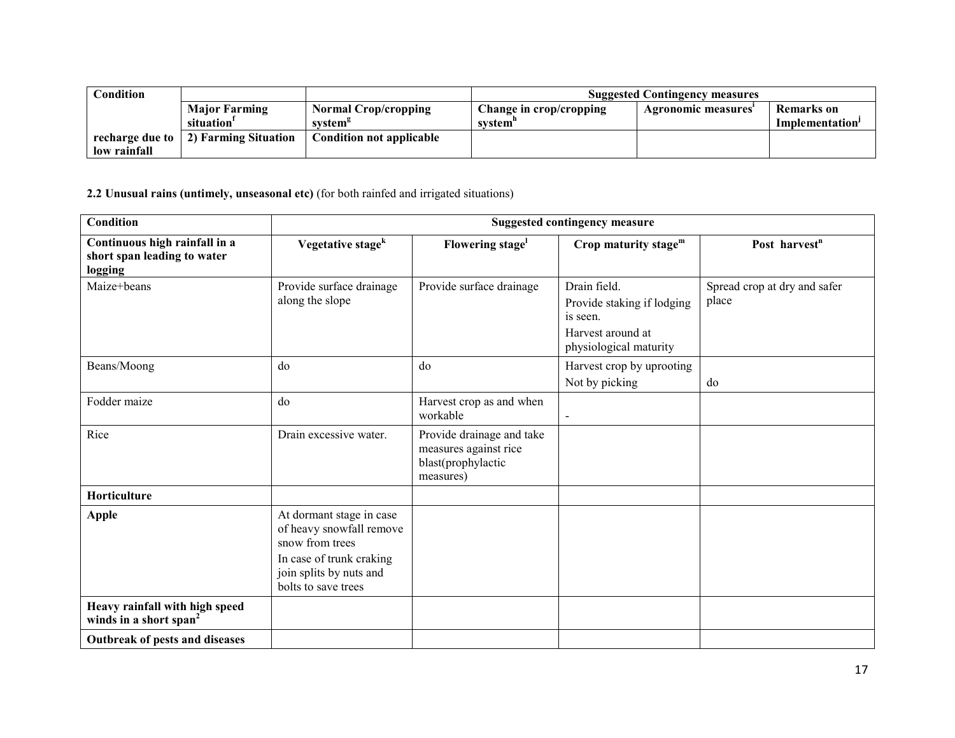| <b>Condition</b> |                      |                                 | <b>Suggested Contingency measures</b> |                    |                             |
|------------------|----------------------|---------------------------------|---------------------------------------|--------------------|-----------------------------|
|                  | <b>Major Farming</b> | <b>Normal Crop/cropping</b>     | Change in crop/cropping               | Agronomic measures | Remarks on                  |
|                  | situation'           | system <sup>s</sup>             | svstem"                               |                    | Implementation <sup>1</sup> |
| recharge due to  | 2) Farming Situation | <b>Condition not applicable</b> |                                       |                    |                             |
| low rainfall     |                      |                                 |                                       |                    |                             |

2.2 Unusual rains (untimely, unseasonal etc) (for both rainfed and irrigated situations)

| <b>Condition</b>                                                        | <b>Suggested contingency measure</b>                                                                                                                  |                                                                                       |                                                                                                       |                                       |  |  |
|-------------------------------------------------------------------------|-------------------------------------------------------------------------------------------------------------------------------------------------------|---------------------------------------------------------------------------------------|-------------------------------------------------------------------------------------------------------|---------------------------------------|--|--|
| Continuous high rainfall in a<br>short span leading to water<br>logging | Vegetative stage <sup>k</sup>                                                                                                                         | Flowering stage <sup>1</sup>                                                          | Crop maturity stage <sup>m</sup>                                                                      | Post harvest <sup>n</sup>             |  |  |
| Maize+beans                                                             | Provide surface drainage<br>along the slope                                                                                                           | Provide surface drainage                                                              | Drain field.<br>Provide staking if lodging<br>is seen.<br>Harvest around at<br>physiological maturity | Spread crop at dry and safer<br>place |  |  |
| Beans/Moong                                                             | do                                                                                                                                                    | do                                                                                    | Harvest crop by uprooting<br>Not by picking                                                           | do                                    |  |  |
| Fodder maize                                                            | do                                                                                                                                                    | Harvest crop as and when<br>workable                                                  | $\qquad \qquad \blacksquare$                                                                          |                                       |  |  |
| Rice                                                                    | Drain excessive water.                                                                                                                                | Provide drainage and take<br>measures against rice<br>blast(prophylactic<br>measures) |                                                                                                       |                                       |  |  |
| Horticulture                                                            |                                                                                                                                                       |                                                                                       |                                                                                                       |                                       |  |  |
| <b>Apple</b>                                                            | At dormant stage in case<br>of heavy snowfall remove<br>snow from trees<br>In case of trunk craking<br>join splits by nuts and<br>bolts to save trees |                                                                                       |                                                                                                       |                                       |  |  |
| Heavy rainfall with high speed<br>winds in a short span <sup>2</sup>    |                                                                                                                                                       |                                                                                       |                                                                                                       |                                       |  |  |
| Outbreak of pests and diseases                                          |                                                                                                                                                       |                                                                                       |                                                                                                       |                                       |  |  |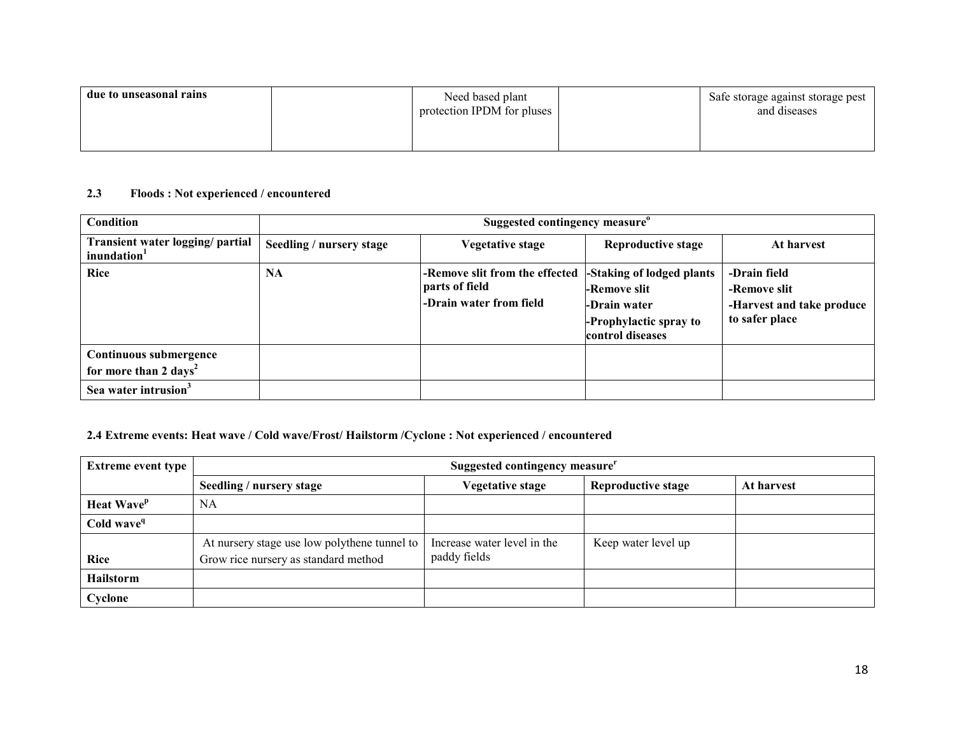| due to unseasonal rains | Need based plant<br>protection IPDM for pluses | Safe storage against storage pest<br>and diseases |
|-------------------------|------------------------------------------------|---------------------------------------------------|
|                         |                                                |                                                   |

#### 2.3 Floods : Not experienced / encountered

| <b>Condition</b>                                            | Suggested contingency measure <sup>o</sup> |                                                                             |                                                                                                          |                                                                             |
|-------------------------------------------------------------|--------------------------------------------|-----------------------------------------------------------------------------|----------------------------------------------------------------------------------------------------------|-----------------------------------------------------------------------------|
| Transient water logging/ partial<br>inundation <sup>1</sup> | Seedling / nursery stage                   | Vegetative stage                                                            | Reproductive stage                                                                                       | At harvest                                                                  |
| <b>Rice</b>                                                 | <b>NA</b>                                  | -Remove slit from the effected<br>parts of field<br>-Drain water from field | -Staking of lodged plants<br>l-Remove slit<br>-Drain water<br>-Prophylactic spray to<br>control diseases | -Drain field<br>-Remove slit<br>-Harvest and take produce<br>to safer place |
| Continuous submergence<br>for more than 2 days <sup>2</sup> |                                            |                                                                             |                                                                                                          |                                                                             |
| Sea water intrusion <sup>3</sup>                            |                                            |                                                                             |                                                                                                          |                                                                             |

# 2.4 Extreme events: Heat wave / Cold wave/Frost/ Hailstorm /Cyclone : Not experienced / encountered

| <b>Extreme event type</b> | Suggested contingency measure <sup>r</sup>                                           |                                             |                           |            |  |
|---------------------------|--------------------------------------------------------------------------------------|---------------------------------------------|---------------------------|------------|--|
|                           | Seedling / nursery stage                                                             | <b>Vegetative stage</b>                     | <b>Reproductive stage</b> | At harvest |  |
| Heat Wave <sup>p</sup>    | NA                                                                                   |                                             |                           |            |  |
| Cold wave <sup>q</sup>    |                                                                                      |                                             |                           |            |  |
| <b>Rice</b>               | At nursery stage use low polythene tunnel to<br>Grow rice nursery as standard method | Increase water level in the<br>paddy fields | Keep water level up       |            |  |
| <b>Hailstorm</b>          |                                                                                      |                                             |                           |            |  |
| Cyclone                   |                                                                                      |                                             |                           |            |  |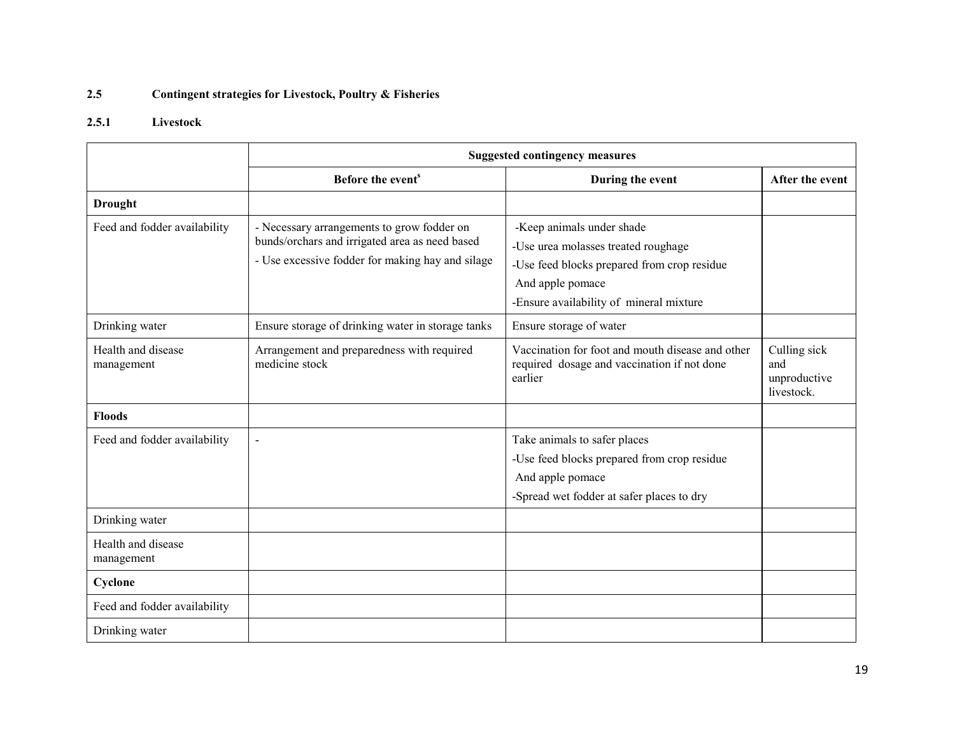#### 2.5Contingent strategies for Livestock, Poultry & Fisheries

# 2.5.1 Livestock

|                                  | <b>Suggested contingency measures</b>                                                                                                            |                                                                                                                                                                                |                                                   |  |  |
|----------------------------------|--------------------------------------------------------------------------------------------------------------------------------------------------|--------------------------------------------------------------------------------------------------------------------------------------------------------------------------------|---------------------------------------------------|--|--|
|                                  | Before the event <sup>s</sup>                                                                                                                    | During the event                                                                                                                                                               | After the event                                   |  |  |
| <b>Drought</b>                   |                                                                                                                                                  |                                                                                                                                                                                |                                                   |  |  |
| Feed and fodder availability     | - Necessary arrangements to grow fodder on<br>bunds/orchars and irrigated area as need based<br>- Use excessive fodder for making hay and silage | -Keep animals under shade<br>-Use urea molasses treated roughage<br>-Use feed blocks prepared from crop residue<br>And apple pomace<br>-Ensure availability of mineral mixture |                                                   |  |  |
| Drinking water                   | Ensure storage of drinking water in storage tanks                                                                                                | Ensure storage of water                                                                                                                                                        |                                                   |  |  |
| Health and disease<br>management | Arrangement and preparedness with required<br>medicine stock                                                                                     | Vaccination for foot and mouth disease and other<br>required dosage and vaccination if not done<br>earlier                                                                     | Culling sick<br>and<br>unproductive<br>livestock. |  |  |
| <b>Floods</b>                    |                                                                                                                                                  |                                                                                                                                                                                |                                                   |  |  |
| Feed and fodder availability     | $\blacksquare$                                                                                                                                   | Take animals to safer places<br>-Use feed blocks prepared from crop residue<br>And apple pomace<br>-Spread wet fodder at safer places to dry                                   |                                                   |  |  |
| Drinking water                   |                                                                                                                                                  |                                                                                                                                                                                |                                                   |  |  |
| Health and disease<br>management |                                                                                                                                                  |                                                                                                                                                                                |                                                   |  |  |
| Cyclone                          |                                                                                                                                                  |                                                                                                                                                                                |                                                   |  |  |
| Feed and fodder availability     |                                                                                                                                                  |                                                                                                                                                                                |                                                   |  |  |
| Drinking water                   |                                                                                                                                                  |                                                                                                                                                                                |                                                   |  |  |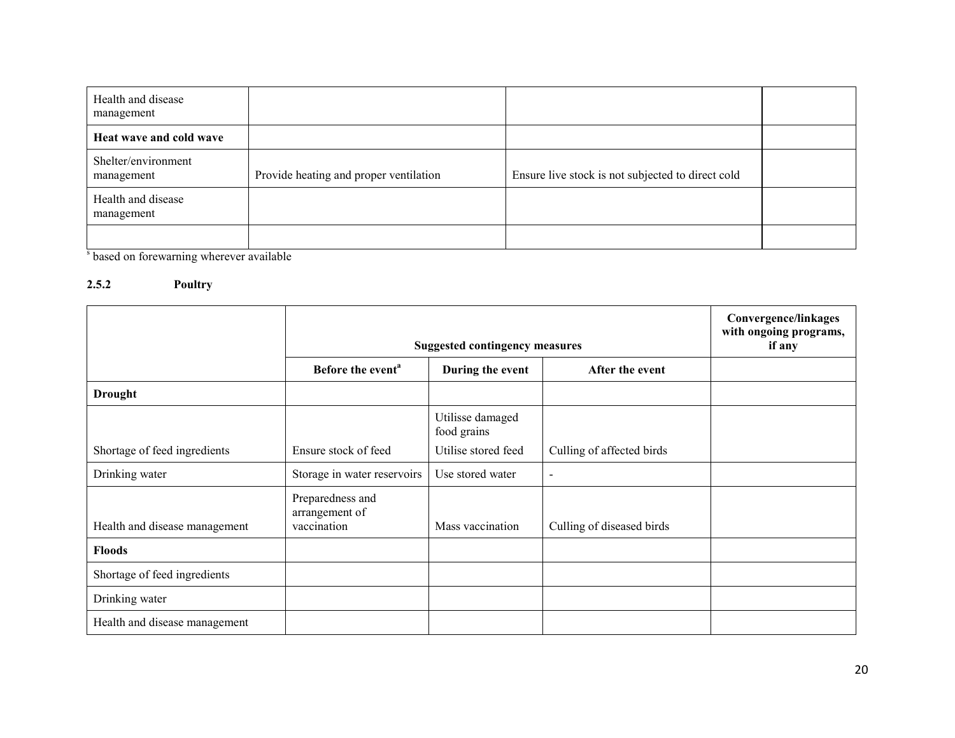| Health and disease<br>management  |                                        |                                                   |  |
|-----------------------------------|----------------------------------------|---------------------------------------------------|--|
| Heat wave and cold wave           |                                        |                                                   |  |
| Shelter/environment<br>management | Provide heating and proper ventilation | Ensure live stock is not subjected to direct cold |  |
| Health and disease<br>management  |                                        |                                                   |  |
|                                   |                                        |                                                   |  |

<sup>s</sup> based on forewarning wherever available

# 2.5.2 Poultry

|                               | <b>Suggested contingency measures</b>             |                                     |                           | Convergence/linkages<br>with ongoing programs,<br>if any |
|-------------------------------|---------------------------------------------------|-------------------------------------|---------------------------|----------------------------------------------------------|
|                               | Before the event <sup>a</sup>                     | During the event<br>After the event |                           |                                                          |
| <b>Drought</b>                |                                                   |                                     |                           |                                                          |
|                               |                                                   | Utilisse damaged<br>food grains     |                           |                                                          |
| Shortage of feed ingredients  | Ensure stock of feed                              | Utilise stored feed                 | Culling of affected birds |                                                          |
| Drinking water                | Storage in water reservoirs                       | Use stored water                    |                           |                                                          |
| Health and disease management | Preparedness and<br>arrangement of<br>vaccination | Mass vaccination                    | Culling of diseased birds |                                                          |
| <b>Floods</b>                 |                                                   |                                     |                           |                                                          |
| Shortage of feed ingredients  |                                                   |                                     |                           |                                                          |
| Drinking water                |                                                   |                                     |                           |                                                          |
| Health and disease management |                                                   |                                     |                           |                                                          |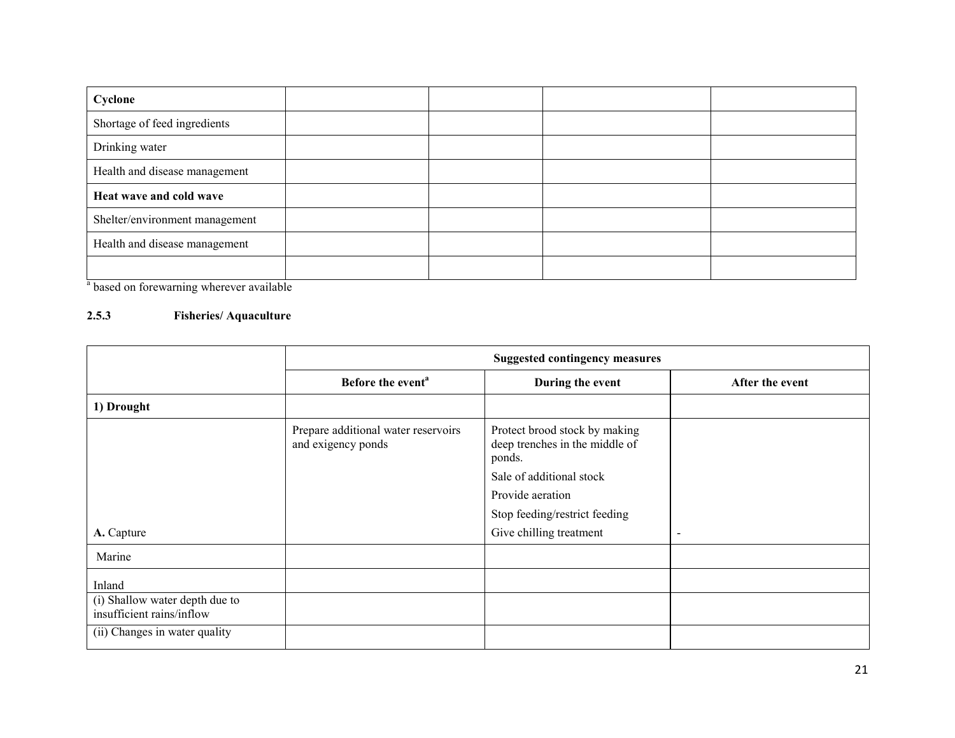| Cyclone                        |  |  |
|--------------------------------|--|--|
| Shortage of feed ingredients   |  |  |
| Drinking water                 |  |  |
| Health and disease management  |  |  |
| Heat wave and cold wave        |  |  |
| Shelter/environment management |  |  |
| Health and disease management  |  |  |
|                                |  |  |

<sup>a</sup> based on forewarning wherever available

# 2.5.3 Fisheries/ Aquaculture

|                                                             | <b>Suggested contingency measures</b>                     |                                                                           |                          |  |
|-------------------------------------------------------------|-----------------------------------------------------------|---------------------------------------------------------------------------|--------------------------|--|
|                                                             | Before the event <sup>a</sup>                             | During the event                                                          | After the event          |  |
| 1) Drought                                                  |                                                           |                                                                           |                          |  |
|                                                             | Prepare additional water reservoirs<br>and exigency ponds | Protect brood stock by making<br>deep trenches in the middle of<br>ponds. |                          |  |
|                                                             |                                                           | Sale of additional stock                                                  |                          |  |
|                                                             |                                                           | Provide aeration                                                          |                          |  |
|                                                             |                                                           | Stop feeding/restrict feeding                                             |                          |  |
| A. Capture                                                  |                                                           | Give chilling treatment                                                   | $\overline{\phantom{a}}$ |  |
| Marine                                                      |                                                           |                                                                           |                          |  |
| Inland                                                      |                                                           |                                                                           |                          |  |
| (i) Shallow water depth due to<br>insufficient rains/inflow |                                                           |                                                                           |                          |  |
| (ii) Changes in water quality                               |                                                           |                                                                           |                          |  |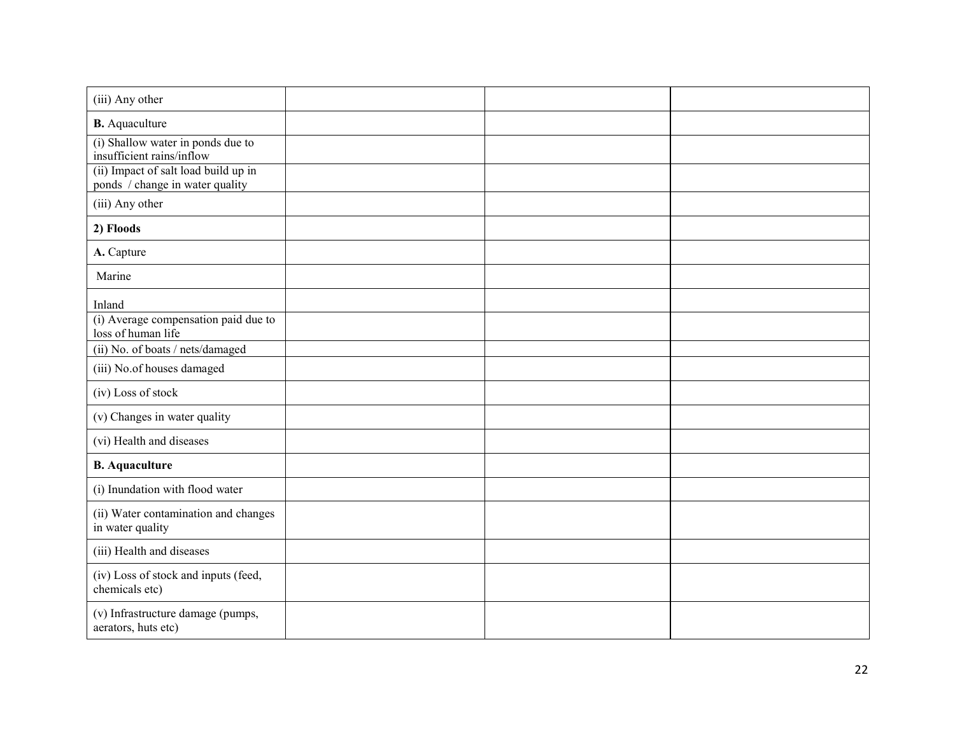| (iii) Any other                                                         |  |  |
|-------------------------------------------------------------------------|--|--|
| <b>B.</b> Aquaculture                                                   |  |  |
| (i) Shallow water in ponds due to<br>insufficient rains/inflow          |  |  |
| (ii) Impact of salt load build up in<br>ponds / change in water quality |  |  |
| (iii) Any other                                                         |  |  |
| 2) Floods                                                               |  |  |
| A. Capture                                                              |  |  |
| Marine                                                                  |  |  |
| Inland                                                                  |  |  |
| (i) Average compensation paid due to<br>loss of human life              |  |  |
| (ii) No. of boats / nets/damaged                                        |  |  |
| (iii) No.of houses damaged                                              |  |  |
| (iv) Loss of stock                                                      |  |  |
| (v) Changes in water quality                                            |  |  |
| (vi) Health and diseases                                                |  |  |
| <b>B.</b> Aquaculture                                                   |  |  |
| (i) Inundation with flood water                                         |  |  |
| (ii) Water contamination and changes<br>in water quality                |  |  |
| (iii) Health and diseases                                               |  |  |
| (iv) Loss of stock and inputs (feed,<br>chemicals etc)                  |  |  |
| (v) Infrastructure damage (pumps,<br>aerators, huts etc)                |  |  |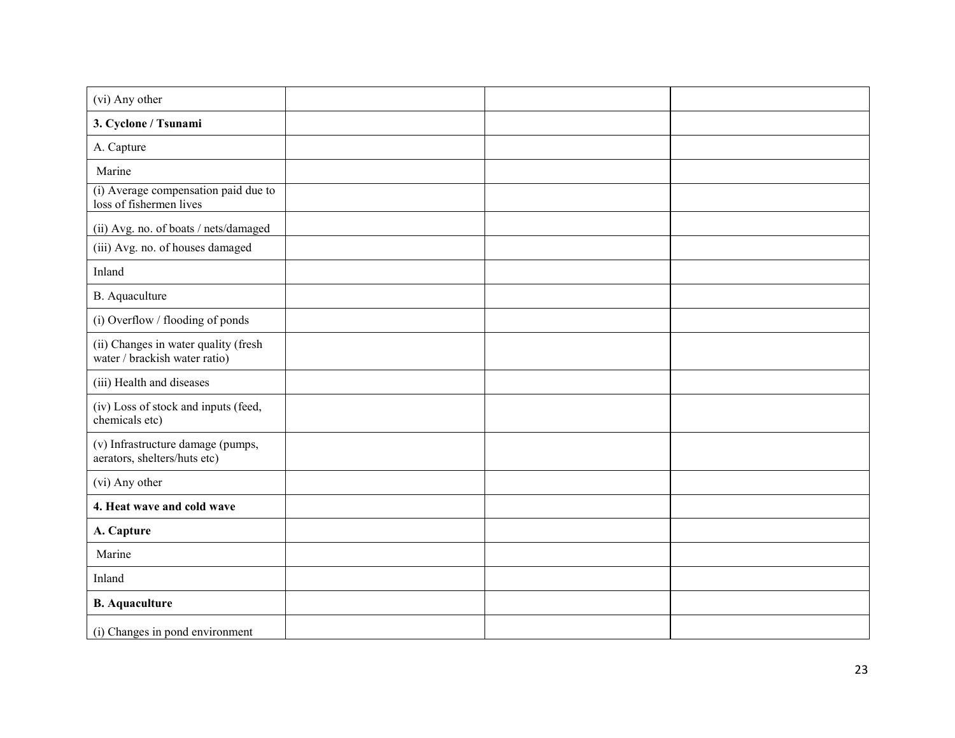| (vi) Any other                                                        |  |  |
|-----------------------------------------------------------------------|--|--|
| 3. Cyclone / Tsunami                                                  |  |  |
| A. Capture                                                            |  |  |
| Marine                                                                |  |  |
| (i) Average compensation paid due to<br>loss of fishermen lives       |  |  |
| (ii) Avg. no. of boats / nets/damaged                                 |  |  |
| (iii) Avg. no. of houses damaged                                      |  |  |
| Inland                                                                |  |  |
| B. Aquaculture                                                        |  |  |
| (i) Overflow / flooding of ponds                                      |  |  |
| (ii) Changes in water quality (fresh<br>water / brackish water ratio) |  |  |
| (iii) Health and diseases                                             |  |  |
| (iv) Loss of stock and inputs (feed,<br>chemicals etc)                |  |  |
| (v) Infrastructure damage (pumps,<br>aerators, shelters/huts etc)     |  |  |
| (vi) Any other                                                        |  |  |
| 4. Heat wave and cold wave                                            |  |  |
| A. Capture                                                            |  |  |
| Marine                                                                |  |  |
| Inland                                                                |  |  |
| <b>B.</b> Aquaculture                                                 |  |  |
| (i) Changes in pond environment                                       |  |  |